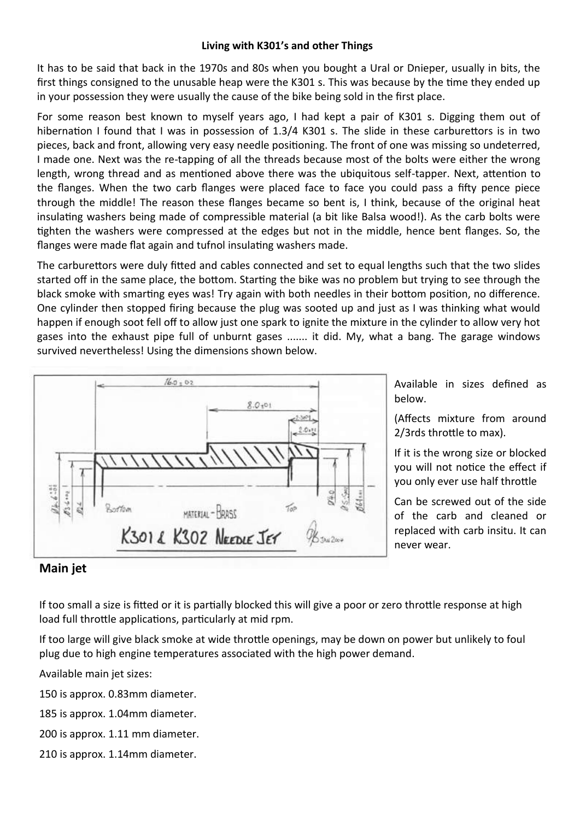## **Living with K301's and other Things**

It has to be said that back in the 1970s and 80s when you bought a Ural or Dnieper, usually in bits, the first things consigned to the unusable heap were the K301 s. This was because by the time they ended up in your possession they were usually the cause of the bike being sold in the first place.

For some reason best known to myself years ago, I had kept a pair of K301 s. Digging them out of hibernation I found that I was in possession of 1.3/4 K301 s. The slide in these carburettors is in two pieces, back and front, allowing very easy needle positioning. The front of one was missing so undeterred, I made one. Next was the re-tapping of all the threads because most of the bolts were either the wrong length, wrong thread and as mentioned above there was the ubiquitous self-tapper. Next, attention to the flanges. When the two carb flanges were placed face to face you could pass a fifty pence piece through the middle! The reason these flanges became so bent is, I think, because of the original heat insulating washers being made of compressible material (a bit like Balsa wood!). As the carb bolts were tighten the washers were compressed at the edges but not in the middle, hence bent flanges. So, the flanges were made flat again and tufnol insulating washers made.

The carburettors were duly fitted and cables connected and set to equal lengths such that the two slides started off in the same place, the bottom. Starting the bike was no problem but trying to see through the black smoke with smarting eyes was! Try again with both needles in their bottom position, no difference. One cylinder then stopped firing because the plug was sooted up and just as I was thinking what would happen if enough soot fell off to allow just one spark to ignite the mixture in the cylinder to allow very hot gases into the exhaust pipe full of unburnt gases ....... it did. My, what a bang. The garage windows survived nevertheless! Using the dimensions shown below.



Available in sizes defined as below.

(Affects mixture from around 2/3rds throttle to max).

If it is the wrong size or blocked you will not notice the effect if you only ever use half throttle

Can be screwed out of the side of the carb and cleaned or replaced with carb insitu. It can never wear.

## **Main jet**

If too small a size is fitted or it is partially blocked this will give a poor or zero throttle response at high load full throttle applications, particularly at mid rpm.

If too large will give black smoke at wide throttle openings, may be down on power but unlikely to foul plug due to high engine temperatures associated with the high power demand.

Available main jet sizes:

150 is approx. 0.83mm diameter.

185 is approx. 1.04mm diameter.

200 is approx. 1.11 mm diameter.

210 is approx. 1.14mm diameter.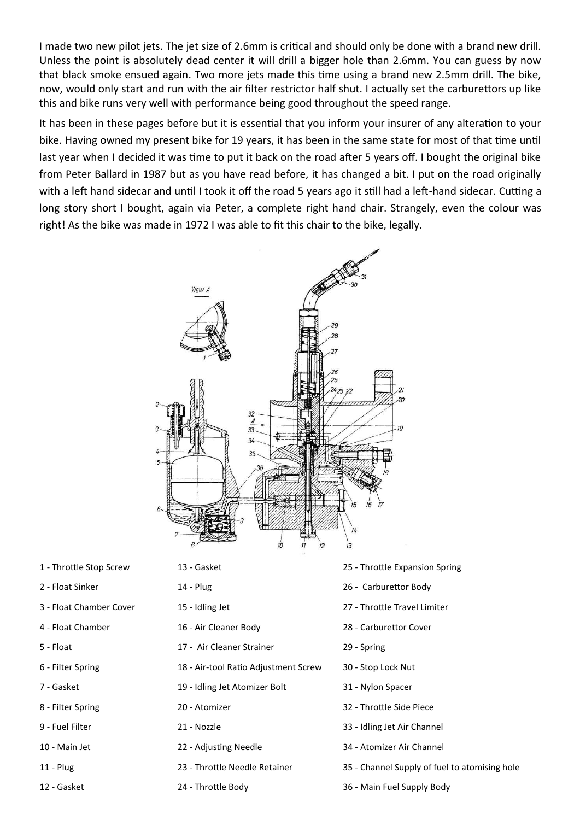I made two new pilot jets. The jet size of 2.6mm is critical and should only be done with a brand new drill. Unless the point is absolutely dead center it will drill a bigger hole than 2.6mm. You can guess by now that black smoke ensued again. Two more jets made this time using a brand new 2.5mm drill. The bike, now, would only start and run with the air filter restrictor half shut. I actually set the carburettors up like this and bike runs very well with performance being good throughout the speed range.

It has been in these pages before but it is essential that you inform your insurer of any alteration to your bike. Having owned my present bike for 19 years, it has been in the same state for most of that time until last year when I decided it was time to put it back on the road after 5 years off. I bought the original bike from Peter Ballard in 1987 but as you have read before, it has changed a bit. I put on the road originally with a left hand sidecar and until I took it off the road 5 years ago it still had a left-hand sidecar. Cutting a long story short I bought, again via Peter, a complete right hand chair. Strangely, even the colour was right! As the bike was made in 1972 I was able to fit this chair to the bike, legally.



- -
	-
- 
- 
- 
- 
- 
- 
- 
- 
- 
- 
- 
- -
- 5 Float 17 Air Cleaner Strainer 29 Spring
- 6 Filter Spring 18 Air-tool Ratio Adjustment Screw 30 Stop Lock Nut
- 7 Gasket 19 Idling Jet Atomizer Bolt 31 Nylon Spacer
	-
	-
	-
	- -
- 1 Throttle Stop Screw 13 Gasket 25 Throttle Expansion Spring
- 2 Float Sinker 14 Plug 26 Carburettor Body
- 3 Float Chamber Cover 15 Idling Jet 27 Throttle Travel Limiter
- 4 Float Chamber 16 Air Cleaner Body 28 Carburettor Cover
	-
	-
	-
- 8 Filter Spring 20 Atomizer 32 Throttle Side Piece
- 9 Fuel Filter 21 Nozzle 33 Idling Jet Air Channel
- 10 Main Jet 22 Adjusting Needle 34 Atomizer Air Channel
- 11 Plug 23 Throttle Needle Retainer 35 Channel Supply of fuel to atomising hole
- 12 Gasket 24 Throttle Body 36 Main Fuel Supply Body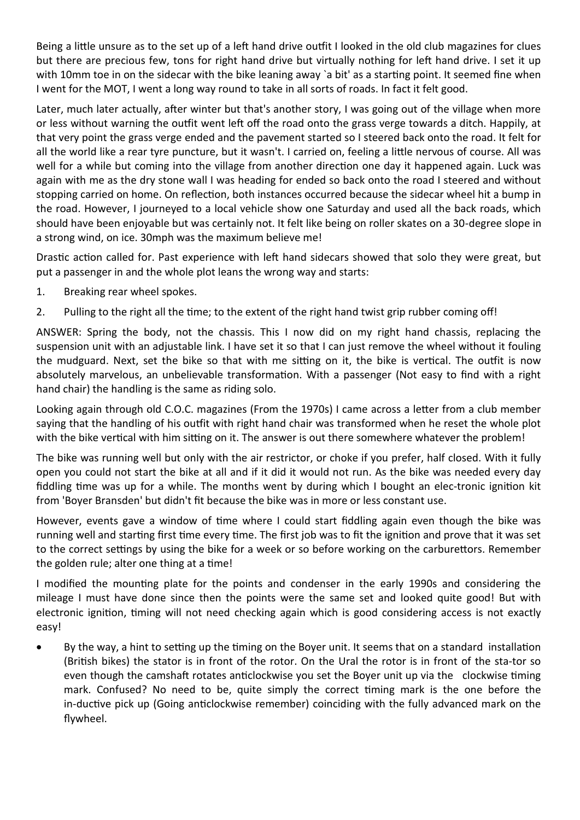Being a little unsure as to the set up of a left hand drive outfit I looked in the old club magazines for clues but there are precious few, tons for right hand drive but virtually nothing for left hand drive. I set it up with 10mm toe in on the sidecar with the bike leaning away `a bit' as a starting point. It seemed fine when I went for the MOT, I went a long way round to take in all sorts of roads. In fact it felt good.

Later, much later actually, after winter but that's another story, I was going out of the village when more or less without warning the outfit went left off the road onto the grass verge towards a ditch. Happily, at that very point the grass verge ended and the pavement started so I steered back onto the road. It felt for all the world like a rear tyre puncture, but it wasn't. I carried on, feeling a little nervous of course. All was well for a while but coming into the village from another direction one day it happened again. Luck was again with me as the dry stone wall I was heading for ended so back onto the road I steered and without stopping carried on home. On reflection, both instances occurred because the sidecar wheel hit a bump in the road. However, I journeyed to a local vehicle show one Saturday and used all the back roads, which should have been enjoyable but was certainly not. It felt like being on roller skates on a 30-degree slope in a strong wind, on ice. 30mph was the maximum believe me!

Drastic action called for. Past experience with left hand sidecars showed that solo they were great, but put a passenger in and the whole plot leans the wrong way and starts:

- 1. Breaking rear wheel spokes.
- 2. Pulling to the right all the time; to the extent of the right hand twist grip rubber coming off!

ANSWER: Spring the body, not the chassis. This I now did on my right hand chassis, replacing the suspension unit with an adjustable link. I have set it so that I can just remove the wheel without it fouling the mudguard. Next, set the bike so that with me sitting on it, the bike is vertical. The outfit is now absolutely marvelous, an unbelievable transformation. With a passenger (Not easy to find with a right hand chair) the handling is the same as riding solo.

Looking again through old C.O.C. magazines (From the 1970s) I came across a letter from a club member saying that the handling of his outfit with right hand chair was transformed when he reset the whole plot with the bike vertical with him sitting on it. The answer is out there somewhere whatever the problem!

The bike was running well but only with the air restrictor, or choke if you prefer, half closed. With it fully open you could not start the bike at all and if it did it would not run. As the bike was needed every day fiddling time was up for a while. The months went by during which I bought an elec-tronic ignition kit from 'Boyer Bransden' but didn't fit because the bike was in more or less constant use.

However, events gave a window of time where I could start fiddling again even though the bike was running well and starting first time every time. The first job was to fit the ignition and prove that it was set to the correct settings by using the bike for a week or so before working on the carburettors. Remember the golden rule; alter one thing at a time!

I modified the mounting plate for the points and condenser in the early 1990s and considering the mileage I must have done since then the points were the same set and looked quite good! But with electronic ignition, timing will not need checking again which is good considering access is not exactly easy!

 By the way, a hint to setting up the timing on the Boyer unit. It seems that on a standard installation (British bikes) the stator is in front of the rotor. On the Ural the rotor is in front of the sta-tor so even though the camshaft rotates anticlockwise you set the Boyer unit up via the clockwise timing mark. Confused? No need to be, quite simply the correct timing mark is the one before the in-ductive pick up (Going anticlockwise remember) coinciding with the fully advanced mark on the flywheel.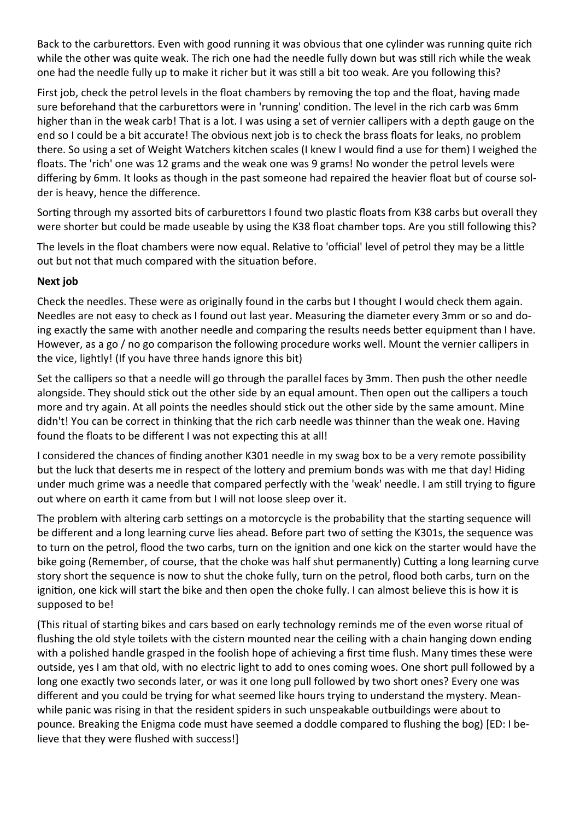Back to the carburettors. Even with good running it was obvious that one cylinder was running quite rich while the other was quite weak. The rich one had the needle fully down but was still rich while the weak one had the needle fully up to make it richer but it was still a bit too weak. Are you following this?

First job, check the petrol levels in the float chambers by removing the top and the float, having made sure beforehand that the carburettors were in 'running' condition. The level in the rich carb was 6mm higher than in the weak carb! That is a lot. I was using a set of vernier callipers with a depth gauge on the end so I could be a bit accurate! The obvious next job is to check the brass floats for leaks, no problem there. So using a set of Weight Watchers kitchen scales (I knew I would find a use for them) I weighed the floats. The 'rich' one was 12 grams and the weak one was 9 grams! No wonder the petrol levels were differing by 6mm. It looks as though in the past someone had repaired the heavier float but of course solder is heavy, hence the difference.

Sorting through my assorted bits of carburettors I found two plastic floats from K38 carbs but overall they were shorter but could be made useable by using the K38 float chamber tops. Are you still following this?

The levels in the float chambers were now equal. Relative to 'official' level of petrol they may be a little out but not that much compared with the situation before.

## **Next job**

Check the needles. These were as originally found in the carbs but I thought I would check them again. Needles are not easy to check as I found out last year. Measuring the diameter every 3mm or so and doing exactly the same with another needle and comparing the results needs better equipment than I have. However, as a go / no go comparison the following procedure works well. Mount the vernier callipers in the vice, lightly! (If you have three hands ignore this bit)

Set the callipers so that a needle will go through the parallel faces by 3mm. Then push the other needle alongside. They should stick out the other side by an equal amount. Then open out the callipers a touch more and try again. At all points the needles should stick out the other side by the same amount. Mine didn't! You can be correct in thinking that the rich carb needle was thinner than the weak one. Having found the floats to be different I was not expecting this at all!

I considered the chances of finding another K301 needle in my swag box to be a very remote possibility but the luck that deserts me in respect of the lottery and premium bonds was with me that day! Hiding under much grime was a needle that compared perfectly with the 'weak' needle. I am still trying to figure out where on earth it came from but I will not loose sleep over it.

The problem with altering carb settings on a motorcycle is the probability that the starting sequence will be different and a long learning curve lies ahead. Before part two of setting the K301s, the sequence was to turn on the petrol, flood the two carbs, turn on the ignition and one kick on the starter would have the bike going (Remember, of course, that the choke was half shut permanently) Cutting a long learning curve story short the sequence is now to shut the choke fully, turn on the petrol, flood both carbs, turn on the ignition, one kick will start the bike and then open the choke fully. I can almost believe this is how it is supposed to be!

(This ritual of starting bikes and cars based on early technology reminds me of the even worse ritual of flushing the old style toilets with the cistern mounted near the ceiling with a chain hanging down ending with a polished handle grasped in the foolish hope of achieving a first time flush. Many times these were outside, yes I am that old, with no electric light to add to ones coming woes. One short pull followed by a long one exactly two seconds later, or was it one long pull followed by two short ones? Every one was different and you could be trying for what seemed like hours trying to understand the mystery. Meanwhile panic was rising in that the resident spiders in such unspeakable outbuildings were about to pounce. Breaking the Enigma code must have seemed a doddle compared to flushing the bog) [ED: I believe that they were flushed with success!]